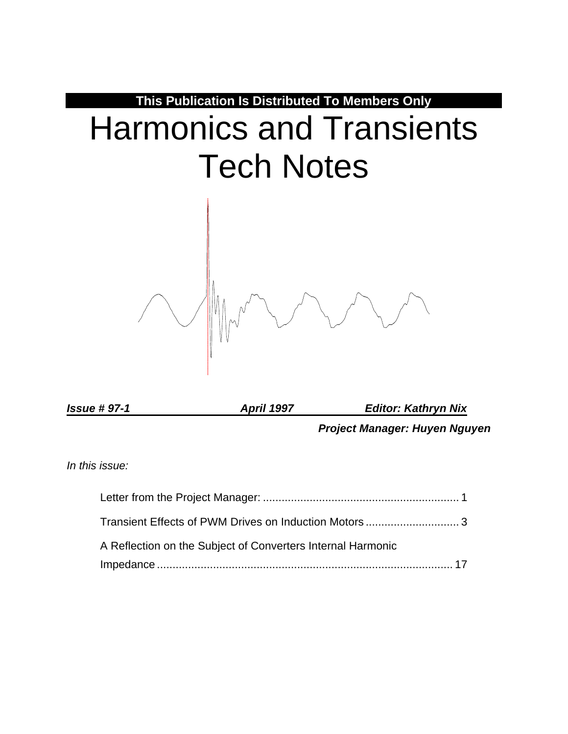

*Issue # 97-1 April 1997 Editor: Kathryn Nix*

*Project Manager: Huyen Nguyen*

*In this issue:*

| Transient Effects of PWM Drives on Induction Motors 3       |  |
|-------------------------------------------------------------|--|
| A Reflection on the Subject of Converters Internal Harmonic |  |
|                                                             |  |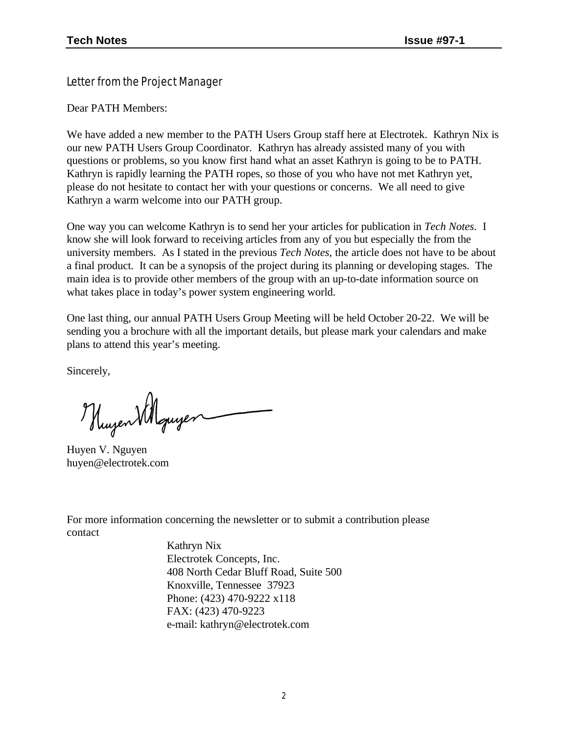Letter from the Project Manager

Dear PATH Members:

We have added a new member to the PATH Users Group staff here at Electrotek. Kathryn Nix is our new PATH Users Group Coordinator. Kathryn has already assisted many of you with questions or problems, so you know first hand what an asset Kathryn is going to be to PATH. Kathryn is rapidly learning the PATH ropes, so those of you who have not met Kathryn yet, please do not hesitate to contact her with your questions or concerns. We all need to give Kathryn a warm welcome into our PATH group.

One way you can welcome Kathryn is to send her your articles for publication in *Tech Notes*. I know she will look forward to receiving articles from any of you but especially the from the university members. As I stated in the previous *Tech Notes*, the article does not have to be about a final product. It can be a synopsis of the project during its planning or developing stages. The main idea is to provide other members of the group with an up-to-date information source on what takes place in today's power system engineering world.

One last thing, our annual PATH Users Group Meeting will be held October 20-22. We will be sending you a brochure with all the important details, but please mark your calendars and make plans to attend this year's meeting.

Sincerely,

Huzen Villquyer

Huyen V. Nguyen huyen@electrotek.com

For more information concerning the newsletter or to submit a contribution please contact

> Kathryn Nix Electrotek Concepts, Inc. 408 North Cedar Bluff Road, Suite 500 Knoxville, Tennessee 37923 Phone: (423) 470-9222 x118 FAX: (423) 470-9223 e-mail: kathryn@electrotek.com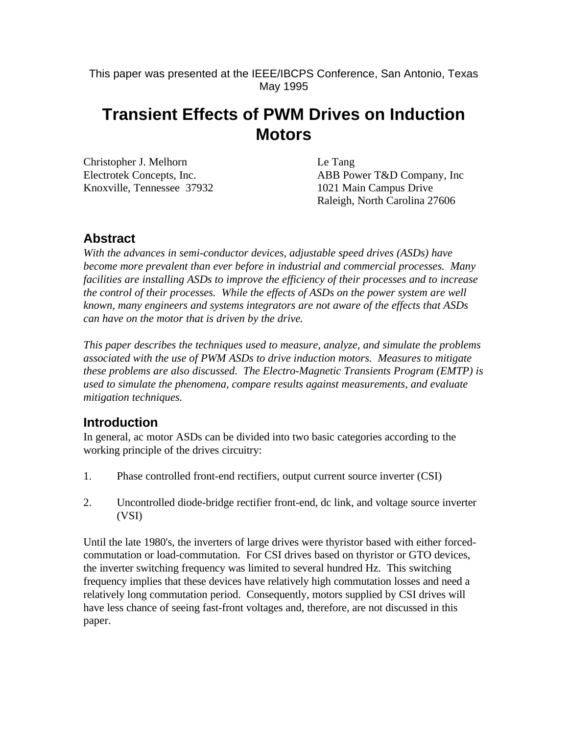This paper was presented at the IEEE/IBCPS Conference, San Antonio, Texas May 1995

# **Transient Effects of PWM Drives on Induction Motors**

| Christopher J. Melhorn     | Le Tang                       |
|----------------------------|-------------------------------|
| Electrotek Concepts, Inc.  | ABB Power T&D Company, Inc.   |
| Knoxville, Tennessee 37932 | 1021 Main Campus Drive        |
|                            | Raleigh, North Carolina 27606 |

## **Abstract**

*With the advances in semi-conductor devices, adjustable speed drives (ASDs) have become more prevalent than ever before in industrial and commercial processes. Many facilities are installing ASDs to improve the efficiency of their processes and to increase the control of their processes. While the effects of ASDs on the power system are well known, many engineers and systems integrators are not aware of the effects that ASDs can have on the motor that is driven by the drive.*

*This paper describes the techniques used to measure, analyze, and simulate the problems associated with the use of PWM ASDs to drive induction motors. Measures to mitigate these problems are also discussed. The Electro-Magnetic Transients Program (EMTP) is used to simulate the phenomena, compare results against measurements, and evaluate mitigation techniques.*

# **Introduction**

In general, ac motor ASDs can be divided into two basic categories according to the working principle of the drives circuitry:

- 1. Phase controlled front-end rectifiers, output current source inverter (CSI)
- 2. Uncontrolled diode-bridge rectifier front-end, dc link, and voltage source inverter (VSI)

Until the late 1980's, the inverters of large drives were thyristor based with either forcedcommutation or load-commutation. For CSI drives based on thyristor or GTO devices, the inverter switching frequency was limited to several hundred Hz. This switching frequency implies that these devices have relatively high commutation losses and need a relatively long commutation period. Consequently, motors supplied by CSI drives will have less chance of seeing fast-front voltages and, therefore, are not discussed in this paper.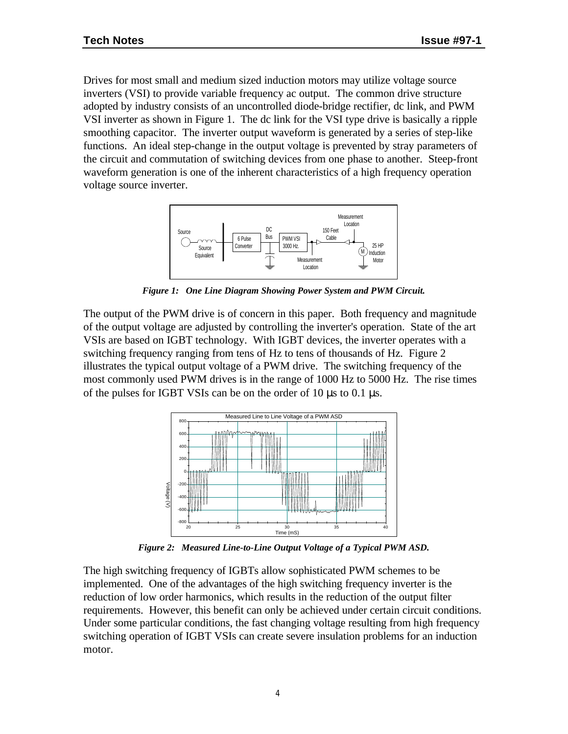Drives for most small and medium sized induction motors may utilize voltage source inverters (VSI) to provide variable frequency ac output. The common drive structure adopted by industry consists of an uncontrolled diode-bridge rectifier, dc link, and PWM VSI inverter as shown in Figure 1. The dc link for the VSI type drive is basically a ripple smoothing capacitor. The inverter output waveform is generated by a series of step-like functions. An ideal step-change in the output voltage is prevented by stray parameters of the circuit and commutation of switching devices from one phase to another. Steep-front waveform generation is one of the inherent characteristics of a high frequency operation voltage source inverter.



*Figure 1: One Line Diagram Showing Power System and PWM Circuit.*

The output of the PWM drive is of concern in this paper. Both frequency and magnitude of the output voltage are adjusted by controlling the inverter's operation. State of the art VSIs are based on IGBT technology. With IGBT devices, the inverter operates with a switching frequency ranging from tens of Hz to tens of thousands of Hz. Figure 2 illustrates the typical output voltage of a PWM drive. The switching frequency of the most commonly used PWM drives is in the range of 1000 Hz to 5000 Hz. The rise times of the pulses for IGBT VSIs can be on the order of 10 μs to 0.1 μs.



*Figure 2: Measured Line-to-Line Output Voltage of a Typical PWM ASD.*

The high switching frequency of IGBTs allow sophisticated PWM schemes to be implemented. One of the advantages of the high switching frequency inverter is the reduction of low order harmonics, which results in the reduction of the output filter requirements. However, this benefit can only be achieved under certain circuit conditions. Under some particular conditions, the fast changing voltage resulting from high frequency switching operation of IGBT VSIs can create severe insulation problems for an induction motor.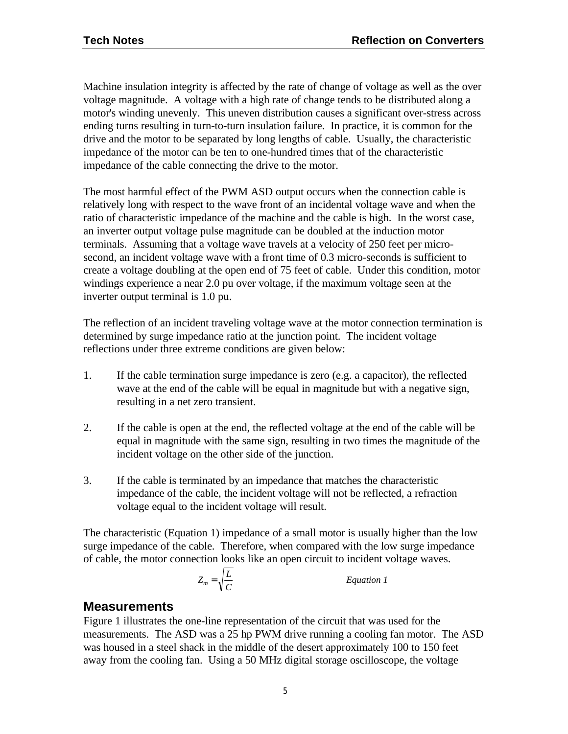Machine insulation integrity is affected by the rate of change of voltage as well as the over voltage magnitude. A voltage with a high rate of change tends to be distributed along a motor's winding unevenly. This uneven distribution causes a significant over-stress across ending turns resulting in turn-to-turn insulation failure. In practice, it is common for the drive and the motor to be separated by long lengths of cable. Usually, the characteristic impedance of the motor can be ten to one-hundred times that of the characteristic impedance of the cable connecting the drive to the motor.

The most harmful effect of the PWM ASD output occurs when the connection cable is relatively long with respect to the wave front of an incidental voltage wave and when the ratio of characteristic impedance of the machine and the cable is high. In the worst case, an inverter output voltage pulse magnitude can be doubled at the induction motor terminals. Assuming that a voltage wave travels at a velocity of 250 feet per microsecond, an incident voltage wave with a front time of 0.3 micro-seconds is sufficient to create a voltage doubling at the open end of 75 feet of cable. Under this condition, motor windings experience a near 2.0 pu over voltage, if the maximum voltage seen at the inverter output terminal is 1.0 pu.

The reflection of an incident traveling voltage wave at the motor connection termination is determined by surge impedance ratio at the junction point. The incident voltage reflections under three extreme conditions are given below:

- 1. If the cable termination surge impedance is zero (e.g. a capacitor), the reflected wave at the end of the cable will be equal in magnitude but with a negative sign, resulting in a net zero transient.
- 2. If the cable is open at the end, the reflected voltage at the end of the cable will be equal in magnitude with the same sign, resulting in two times the magnitude of the incident voltage on the other side of the junction.
- 3. If the cable is terminated by an impedance that matches the characteristic impedance of the cable, the incident voltage will not be reflected, a refraction voltage equal to the incident voltage will result.

The characteristic (Equation 1) impedance of a small motor is usually higher than the low surge impedance of the cable. Therefore, when compared with the low surge impedance of cable, the motor connection looks like an open circuit to incident voltage waves.

$$
Z_m = \sqrt{\frac{L}{C}}
$$

*Equation 1* 

## **Measurements**

Figure 1 illustrates the one-line representation of the circuit that was used for the measurements. The ASD was a 25 hp PWM drive running a cooling fan motor. The ASD was housed in a steel shack in the middle of the desert approximately 100 to 150 feet away from the cooling fan. Using a 50 MHz digital storage oscilloscope, the voltage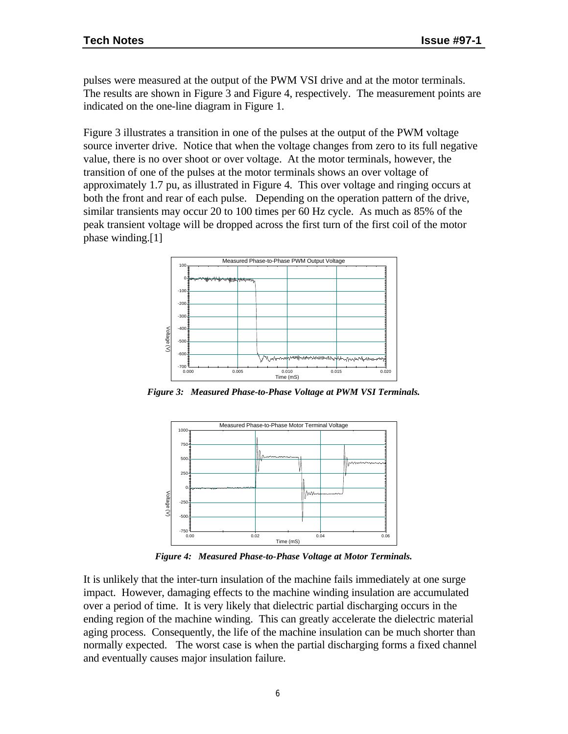pulses were measured at the output of the PWM VSI drive and at the motor terminals. The results are shown in Figure 3 and Figure 4, respectively. The measurement points are indicated on the one-line diagram in Figure 1.

Figure 3 illustrates a transition in one of the pulses at the output of the PWM voltage source inverter drive. Notice that when the voltage changes from zero to its full negative value, there is no over shoot or over voltage. At the motor terminals, however, the transition of one of the pulses at the motor terminals shows an over voltage of approximately 1.7 pu, as illustrated in Figure 4. This over voltage and ringing occurs at both the front and rear of each pulse. Depending on the operation pattern of the drive, similar transients may occur 20 to 100 times per 60 Hz cycle. As much as 85% of the peak transient voltage will be dropped across the first turn of the first coil of the motor phase winding.[1]



*Figure 3: Measured Phase-to-Phase Voltage at PWM VSI Terminals.*



*Figure 4: Measured Phase-to-Phase Voltage at Motor Terminals.*

It is unlikely that the inter-turn insulation of the machine fails immediately at one surge impact. However, damaging effects to the machine winding insulation are accumulated over a period of time. It is very likely that dielectric partial discharging occurs in the ending region of the machine winding. This can greatly accelerate the dielectric material aging process. Consequently, the life of the machine insulation can be much shorter than normally expected. The worst case is when the partial discharging forms a fixed channel and eventually causes major insulation failure.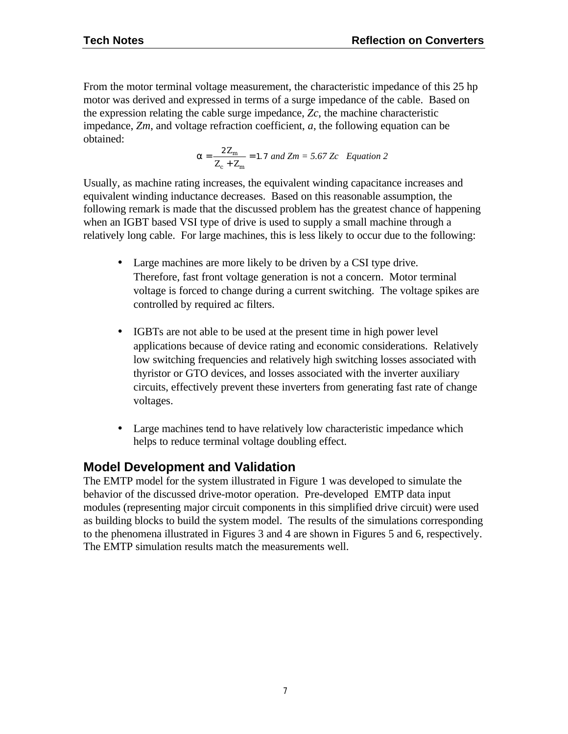From the motor terminal voltage measurement, the characteristic impedance of this 25 hp motor was derived and expressed in terms of a surge impedance of the cable. Based on the expression relating the cable surge impedance, *Zc*, the machine characteristic impedance, *Zm*, and voltage refraction coefficient, *a*, the following equation can be obtained:

$$
a = \frac{2Z_m}{Z_c + Z_m} = 1.7 \text{ and } Zm = 5.67 \text{ Zc} \quad Equation 2
$$

Usually, as machine rating increases, the equivalent winding capacitance increases and equivalent winding inductance decreases. Based on this reasonable assumption, the following remark is made that the discussed problem has the greatest chance of happening when an IGBT based VSI type of drive is used to supply a small machine through a relatively long cable. For large machines, this is less likely to occur due to the following:

- Large machines are more likely to be driven by a CSI type drive. Therefore, fast front voltage generation is not a concern. Motor terminal voltage is forced to change during a current switching. The voltage spikes are controlled by required ac filters.
- IGBTs are not able to be used at the present time in high power level applications because of device rating and economic considerations. Relatively low switching frequencies and relatively high switching losses associated with thyristor or GTO devices, and losses associated with the inverter auxiliary circuits, effectively prevent these inverters from generating fast rate of change voltages.
- Large machines tend to have relatively low characteristic impedance which helps to reduce terminal voltage doubling effect.

# **Model Development and Validation**

The EMTP model for the system illustrated in Figure 1 was developed to simulate the behavior of the discussed drive-motor operation. Pre-developed EMTP data input modules (representing major circuit components in this simplified drive circuit) were used as building blocks to build the system model. The results of the simulations corresponding to the phenomena illustrated in Figures 3 and 4 are shown in Figures 5 and 6, respectively. The EMTP simulation results match the measurements well.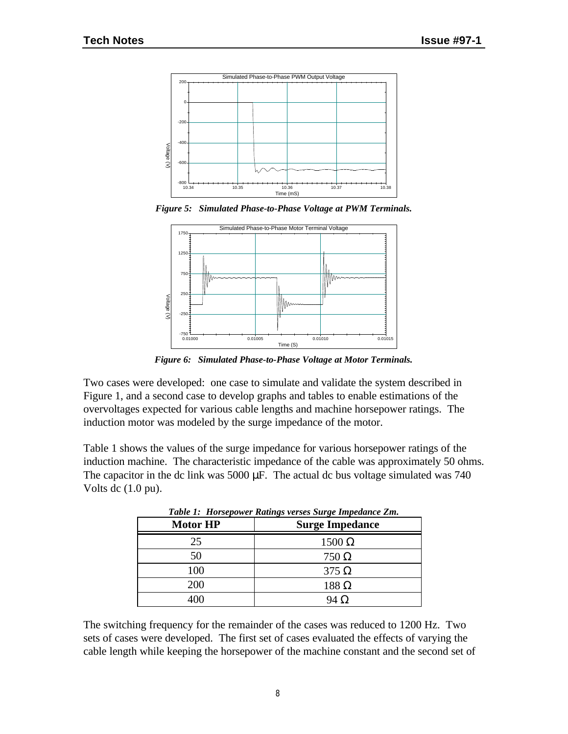

*Figure 5: Simulated Phase-to-Phase Voltage at PWM Terminals.*



*Figure 6: Simulated Phase-to-Phase Voltage at Motor Terminals.*

Two cases were developed: one case to simulate and validate the system described in Figure 1, and a second case to develop graphs and tables to enable estimations of the overvoltages expected for various cable lengths and machine horsepower ratings. The induction motor was modeled by the surge impedance of the motor.

Table 1 shows the values of the surge impedance for various horsepower ratings of the induction machine. The characteristic impedance of the cable was approximately 50 ohms. The capacitor in the dc link was  $5000 \mu F$ . The actual dc bus voltage simulated was 740 Volts dc (1.0 pu).

| <b>Motor HP</b> | Table 1: Horsepower Katings verses Surge Impedance Zm.<br><b>Surge Impedance</b> |
|-----------------|----------------------------------------------------------------------------------|
| 25              | $1500 \Omega$                                                                    |
| 50              | $750 \Omega$                                                                     |
| 100             | $375 \Omega$                                                                     |
| 200             | $188 \Omega$                                                                     |
| 400             | $94 \Omega$                                                                      |

*Table 1: Horsepower Ratings verses Surge Impedance Zm.*

The switching frequency for the remainder of the cases was reduced to 1200 Hz. Two sets of cases were developed. The first set of cases evaluated the effects of varying the cable length while keeping the horsepower of the machine constant and the second set of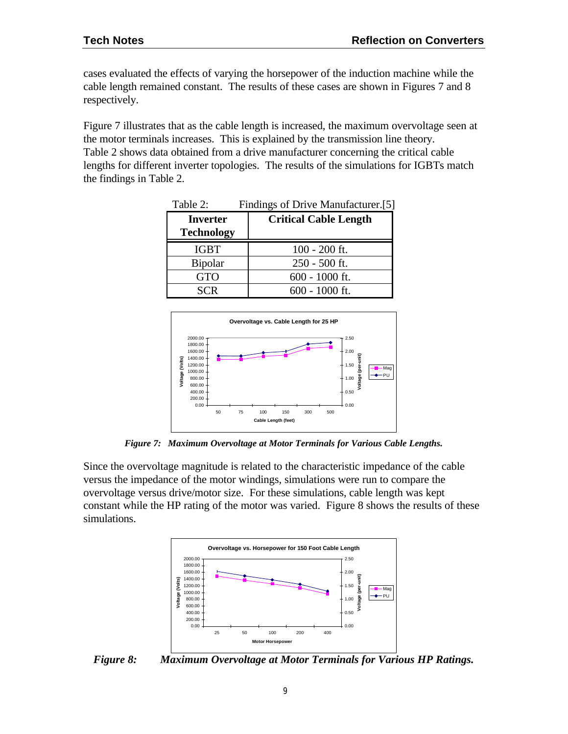cases evaluated the effects of varying the horsepower of the induction machine while the cable length remained constant. The results of these cases are shown in Figures 7 and 8 respectively.

Figure 7 illustrates that as the cable length is increased, the maximum overvoltage seen at the motor terminals increases. This is explained by the transmission line theory. Table 2 shows data obtained from a drive manufacturer concerning the critical cable lengths for different inverter topologies. The results of the simulations for IGBTs match the findings in Table 2.

| Table 2:          | Findings of Drive Manufacturer.[5] |
|-------------------|------------------------------------|
| <b>Inverter</b>   | <b>Critical Cable Length</b>       |
| <b>Technology</b> |                                    |
| <b>IGBT</b>       | $100 - 200$ ft.                    |
| <b>Bipolar</b>    | $250 - 500$ ft.                    |
| <b>GTO</b>        | $600 - 1000$ ft.                   |
| SCR               | 600 - 1000 ft.                     |



*Figure 7: Maximum Overvoltage at Motor Terminals for Various Cable Lengths.*

Since the overvoltage magnitude is related to the characteristic impedance of the cable versus the impedance of the motor windings, simulations were run to compare the overvoltage versus drive/motor size. For these simulations, cable length was kept constant while the HP rating of the motor was varied. Figure 8 shows the results of these simulations.



*Figure 8: Maximum Overvoltage at Motor Terminals for Various HP Ratings.*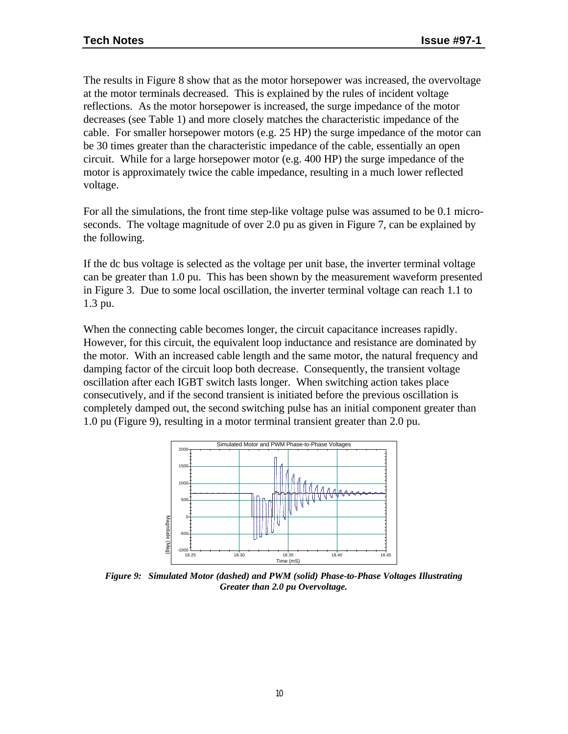The results in Figure 8 show that as the motor horsepower was increased, the overvoltage at the motor terminals decreased. This is explained by the rules of incident voltage reflections. As the motor horsepower is increased, the surge impedance of the motor decreases (see Table 1) and more closely matches the characteristic impedance of the cable. For smaller horsepower motors (e.g. 25 HP) the surge impedance of the motor can be 30 times greater than the characteristic impedance of the cable, essentially an open circuit. While for a large horsepower motor (e.g. 400 HP) the surge impedance of the motor is approximately twice the cable impedance, resulting in a much lower reflected voltage.

For all the simulations, the front time step-like voltage pulse was assumed to be 0.1 microseconds. The voltage magnitude of over 2.0 pu as given in Figure 7, can be explained by the following.

If the dc bus voltage is selected as the voltage per unit base, the inverter terminal voltage can be greater than 1.0 pu. This has been shown by the measurement waveform presented in Figure 3. Due to some local oscillation, the inverter terminal voltage can reach 1.1 to 1.3 pu.

When the connecting cable becomes longer, the circuit capacitance increases rapidly. However, for this circuit, the equivalent loop inductance and resistance are dominated by the motor. With an increased cable length and the same motor, the natural frequency and damping factor of the circuit loop both decrease. Consequently, the transient voltage oscillation after each IGBT switch lasts longer. When switching action takes place consecutively, and if the second transient is initiated before the previous oscillation is completely damped out, the second switching pulse has an initial component greater than 1.0 pu (Figure 9), resulting in a motor terminal transient greater than 2.0 pu.



*Figure 9: Simulated Motor (dashed) and PWM (solid) Phase-to-Phase Voltages Illustrating Greater than 2.0 pu Overvoltage.*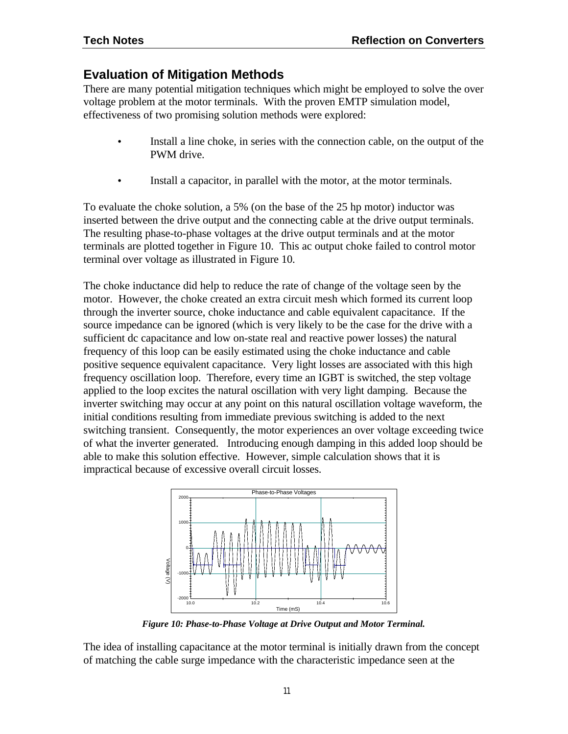# **Evaluation of Mitigation Methods**

There are many potential mitigation techniques which might be employed to solve the over voltage problem at the motor terminals. With the proven EMTP simulation model, effectiveness of two promising solution methods were explored:

- Install a line choke, in series with the connection cable, on the output of the PWM drive.
- Install a capacitor, in parallel with the motor, at the motor terminals.

To evaluate the choke solution, a 5% (on the base of the 25 hp motor) inductor was inserted between the drive output and the connecting cable at the drive output terminals. The resulting phase-to-phase voltages at the drive output terminals and at the motor terminals are plotted together in Figure 10. This ac output choke failed to control motor terminal over voltage as illustrated in Figure 10.

The choke inductance did help to reduce the rate of change of the voltage seen by the motor. However, the choke created an extra circuit mesh which formed its current loop through the inverter source, choke inductance and cable equivalent capacitance. If the source impedance can be ignored (which is very likely to be the case for the drive with a sufficient dc capacitance and low on-state real and reactive power losses) the natural frequency of this loop can be easily estimated using the choke inductance and cable positive sequence equivalent capacitance. Very light losses are associated with this high frequency oscillation loop. Therefore, every time an IGBT is switched, the step voltage applied to the loop excites the natural oscillation with very light damping. Because the inverter switching may occur at any point on this natural oscillation voltage waveform, the initial conditions resulting from immediate previous switching is added to the next switching transient. Consequently, the motor experiences an over voltage exceeding twice of what the inverter generated. Introducing enough damping in this added loop should be able to make this solution effective. However, simple calculation shows that it is impractical because of excessive overall circuit losses.



*Figure 10: Phase-to-Phase Voltage at Drive Output and Motor Terminal.*

The idea of installing capacitance at the motor terminal is initially drawn from the concept of matching the cable surge impedance with the characteristic impedance seen at the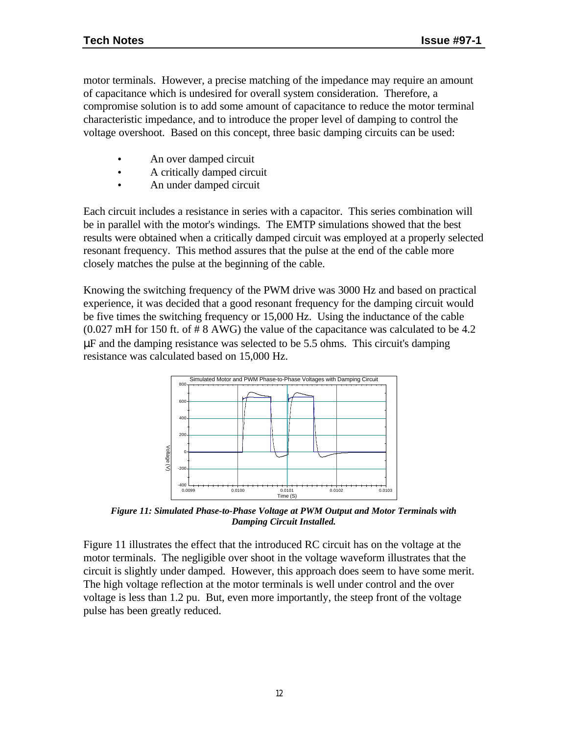motor terminals. However, a precise matching of the impedance may require an amount of capacitance which is undesired for overall system consideration. Therefore, a compromise solution is to add some amount of capacitance to reduce the motor terminal characteristic impedance, and to introduce the proper level of damping to control the voltage overshoot. Based on this concept, three basic damping circuits can be used:

- An over damped circuit
- A critically damped circuit
- An under damped circuit

Each circuit includes a resistance in series with a capacitor. This series combination will be in parallel with the motor's windings. The EMTP simulations showed that the best results were obtained when a critically damped circuit was employed at a properly selected resonant frequency. This method assures that the pulse at the end of the cable more closely matches the pulse at the beginning of the cable.

Knowing the switching frequency of the PWM drive was 3000 Hz and based on practical experience, it was decided that a good resonant frequency for the damping circuit would be five times the switching frequency or 15,000 Hz. Using the inductance of the cable (0.027 mH for 150 ft. of # 8 AWG) the value of the capacitance was calculated to be 4.2 μF and the damping resistance was selected to be 5.5 ohms. This circuit's damping resistance was calculated based on 15,000 Hz.



*Figure 11: Simulated Phase-to-Phase Voltage at PWM Output and Motor Terminals with Damping Circuit Installed.*

Figure 11 illustrates the effect that the introduced RC circuit has on the voltage at the motor terminals. The negligible over shoot in the voltage waveform illustrates that the circuit is slightly under damped. However, this approach does seem to have some merit. The high voltage reflection at the motor terminals is well under control and the over voltage is less than 1.2 pu. But, even more importantly, the steep front of the voltage pulse has been greatly reduced.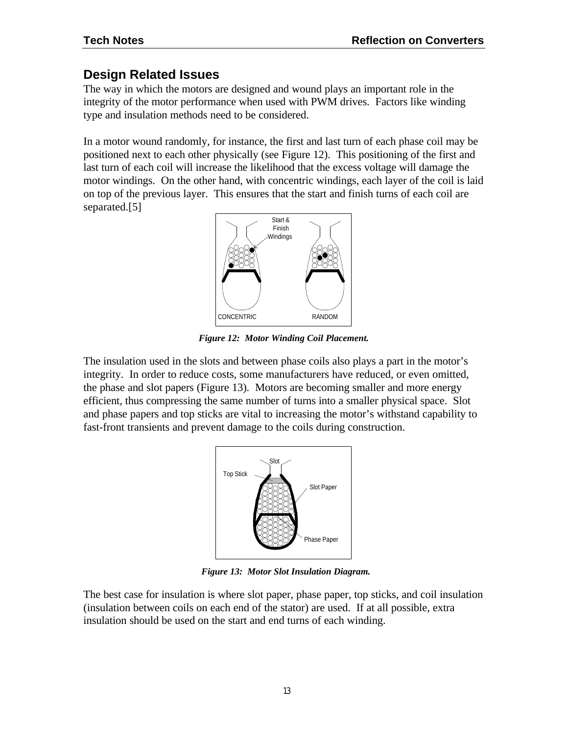# **Design Related Issues**

The way in which the motors are designed and wound plays an important role in the integrity of the motor performance when used with PWM drives. Factors like winding type and insulation methods need to be considered.

In a motor wound randomly, for instance, the first and last turn of each phase coil may be positioned next to each other physically (see Figure 12). This positioning of the first and last turn of each coil will increase the likelihood that the excess voltage will damage the motor windings. On the other hand, with concentric windings, each layer of the coil is laid on top of the previous layer. This ensures that the start and finish turns of each coil are separated.[5]



*Figure 12: Motor Winding Coil Placement.*

The insulation used in the slots and between phase coils also plays a part in the motor's integrity. In order to reduce costs, some manufacturers have reduced, or even omitted, the phase and slot papers (Figure 13). Motors are becoming smaller and more energy efficient, thus compressing the same number of turns into a smaller physical space. Slot and phase papers and top sticks are vital to increasing the motor's withstand capability to fast-front transients and prevent damage to the coils during construction.



*Figure 13: Motor Slot Insulation Diagram.*

The best case for insulation is where slot paper, phase paper, top sticks, and coil insulation (insulation between coils on each end of the stator) are used. If at all possible, extra insulation should be used on the start and end turns of each winding.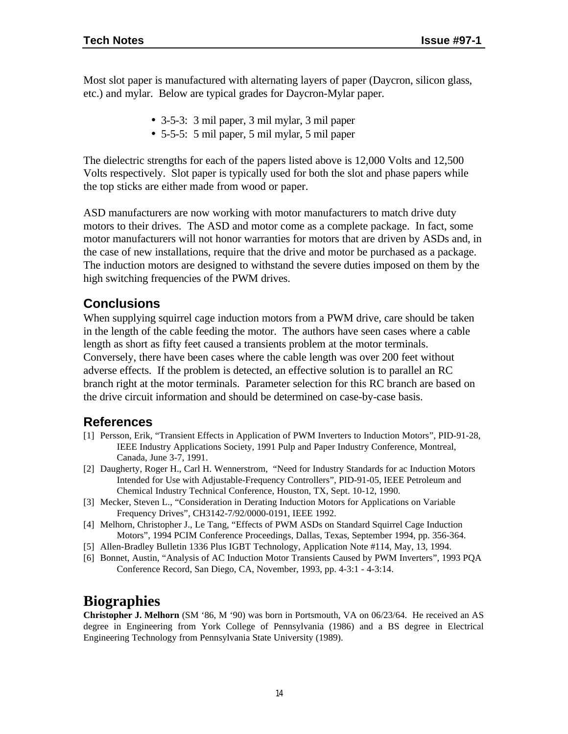Most slot paper is manufactured with alternating layers of paper (Daycron, silicon glass, etc.) and mylar. Below are typical grades for Daycron-Mylar paper.

- 3-5-3: 3 mil paper, 3 mil mylar, 3 mil paper
- 5-5-5: 5 mil paper, 5 mil mylar, 5 mil paper

The dielectric strengths for each of the papers listed above is 12,000 Volts and 12,500 Volts respectively. Slot paper is typically used for both the slot and phase papers while the top sticks are either made from wood or paper.

ASD manufacturers are now working with motor manufacturers to match drive duty motors to their drives. The ASD and motor come as a complete package. In fact, some motor manufacturers will not honor warranties for motors that are driven by ASDs and, in the case of new installations, require that the drive and motor be purchased as a package. The induction motors are designed to withstand the severe duties imposed on them by the high switching frequencies of the PWM drives.

## **Conclusions**

When supplying squirrel cage induction motors from a PWM drive, care should be taken in the length of the cable feeding the motor. The authors have seen cases where a cable length as short as fifty feet caused a transients problem at the motor terminals. Conversely, there have been cases where the cable length was over 200 feet without adverse effects. If the problem is detected, an effective solution is to parallel an RC branch right at the motor terminals. Parameter selection for this RC branch are based on the drive circuit information and should be determined on case-by-case basis.

# **References**

- [1] Persson, Erik, "Transient Effects in Application of PWM Inverters to Induction Motors", PID-91-28, IEEE Industry Applications Society, 1991 Pulp and Paper Industry Conference, Montreal, Canada, June 3-7, 1991.
- [2] Daugherty, Roger H., Carl H. Wennerstrom, "Need for Industry Standards for ac Induction Motors Intended for Use with Adjustable-Frequency Controllers", PID-91-05, IEEE Petroleum and Chemical Industry Technical Conference, Houston, TX, Sept. 10-12, 1990.
- [3] Mecker, Steven L., "Consideration in Derating Induction Motors for Applications on Variable Frequency Drives", CH3142-7/92/0000-0191, IEEE 1992.
- [4] Melhorn, Christopher J., Le Tang, "Effects of PWM ASDs on Standard Squirrel Cage Induction Motors", 1994 PCIM Conference Proceedings, Dallas, Texas, September 1994, pp. 356-364.
- [5] Allen-Bradley Bulletin 1336 Plus IGBT Technology, Application Note #114, May, 13, 1994.
- [6] Bonnet, Austin, "Analysis of AC Induction Motor Transients Caused by PWM Inverters", 1993 PQA Conference Record, San Diego, CA, November, 1993, pp. 4-3:1 - 4-3:14.

# **Biographies**

**Christopher J. Melhorn** (SM '86, M '90) was born in Portsmouth, VA on 06/23/64. He received an AS degree in Engineering from York College of Pennsylvania (1986) and a BS degree in Electrical Engineering Technology from Pennsylvania State University (1989).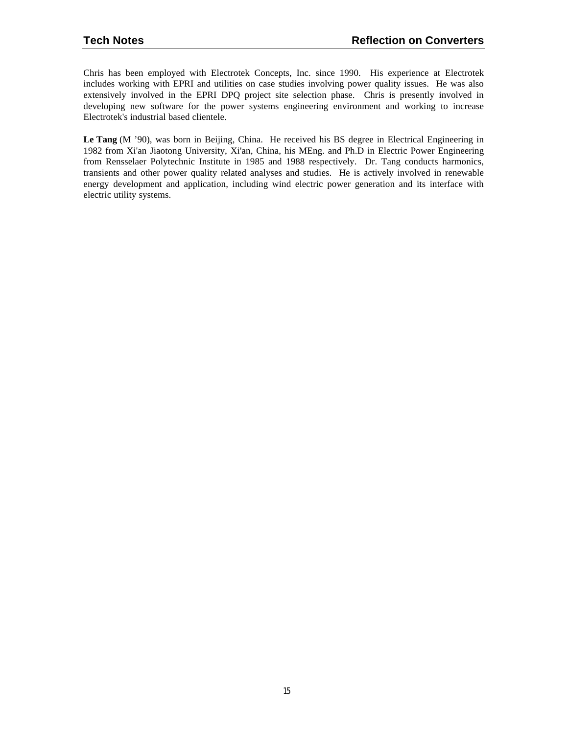Chris has been employed with Electrotek Concepts, Inc. since 1990. His experience at Electrotek includes working with EPRI and utilities on case studies involving power quality issues. He was also extensively involved in the EPRI DPQ project site selection phase. Chris is presently involved in developing new software for the power systems engineering environment and working to increase Electrotek's industrial based clientele.

**Le Tang** (M '90), was born in Beijing, China. He received his BS degree in Electrical Engineering in 1982 from Xi'an Jiaotong University, Xi'an, China, his MEng. and Ph.D in Electric Power Engineering from Rensselaer Polytechnic Institute in 1985 and 1988 respectively. Dr. Tang conducts harmonics, transients and other power quality related analyses and studies. He is actively involved in renewable energy development and application, including wind electric power generation and its interface with electric utility systems.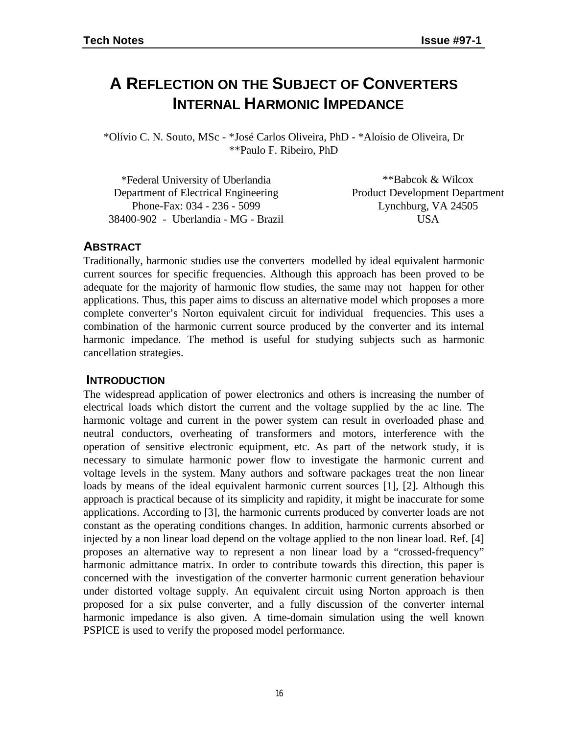# **A REFLECTION ON THE SUBJECT OF CONVERTERS INTERNAL HARMONIC IMPEDANCE**

\*Olívio C. N. Souto, MSc - \*José Carlos Oliveira, PhD - \*Aloísio de Oliveira, Dr \*\*Paulo F. Ribeiro, PhD

| *Federal University of Uberlandia    | **Babcok & Wilcox                     |
|--------------------------------------|---------------------------------------|
| Department of Electrical Engineering | <b>Product Development Department</b> |
| Phone-Fax: 034 - 236 - 5099          | Lynchburg, VA 24505                   |
| 38400-902 - Uberlandia - MG - Brazil | <b>USA</b>                            |

### **ABSTRACT**

Traditionally, harmonic studies use the converters modelled by ideal equivalent harmonic current sources for specific frequencies. Although this approach has been proved to be adequate for the majority of harmonic flow studies, the same may not happen for other applications. Thus, this paper aims to discuss an alternative model which proposes a more complete converter's Norton equivalent circuit for individual frequencies. This uses a combination of the harmonic current source produced by the converter and its internal harmonic impedance. The method is useful for studying subjects such as harmonic cancellation strategies.

### **INTRODUCTION**

The widespread application of power electronics and others is increasing the number of electrical loads which distort the current and the voltage supplied by the ac line. The harmonic voltage and current in the power system can result in overloaded phase and neutral conductors, overheating of transformers and motors, interference with the operation of sensitive electronic equipment, etc. As part of the network study, it is necessary to simulate harmonic power flow to investigate the harmonic current and voltage levels in the system. Many authors and software packages treat the non linear loads by means of the ideal equivalent harmonic current sources [1], [2]. Although this approach is practical because of its simplicity and rapidity, it might be inaccurate for some applications. According to [3], the harmonic currents produced by converter loads are not constant as the operating conditions changes. In addition, harmonic currents absorbed or injected by a non linear load depend on the voltage applied to the non linear load. Ref. [4] proposes an alternative way to represent a non linear load by a "crossed-frequency" harmonic admittance matrix. In order to contribute towards this direction, this paper is concerned with the investigation of the converter harmonic current generation behaviour under distorted voltage supply. An equivalent circuit using Norton approach is then proposed for a six pulse converter, and a fully discussion of the converter internal harmonic impedance is also given. A time-domain simulation using the well known PSPICE is used to verify the proposed model performance.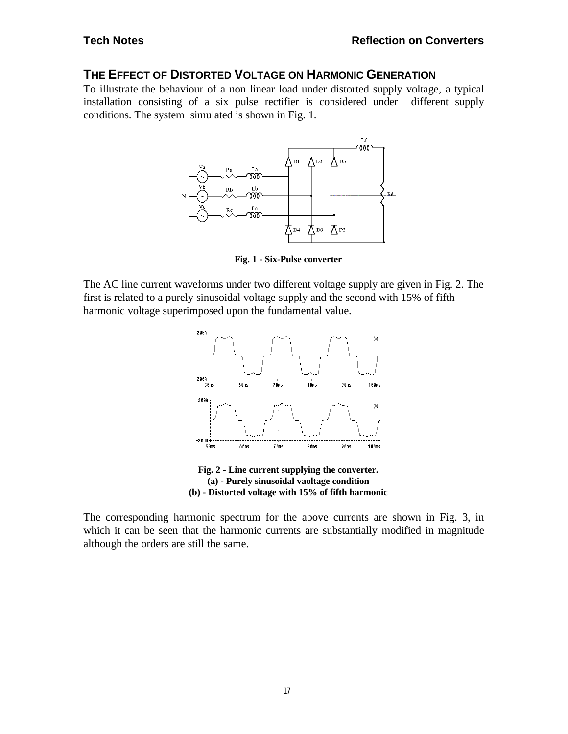#### **THE EFFECT OF DISTORTED VOLTAGE ON HARMONIC GENERATION**

To illustrate the behaviour of a non linear load under distorted supply voltage, a typical installation consisting of a six pulse rectifier is considered under different supply conditions. The system simulated is shown in Fig. 1.



**Fig. 1 - Six-Pulse converter**

The AC line current waveforms under two different voltage supply are given in Fig. 2. The first is related to a purely sinusoidal voltage supply and the second with 15% of fifth harmonic voltage superimposed upon the fundamental value.



**(b) - Distorted voltage with 15% of fifth harmonic**

The corresponding harmonic spectrum for the above currents are shown in Fig. 3, in which it can be seen that the harmonic currents are substantially modified in magnitude although the orders are still the same.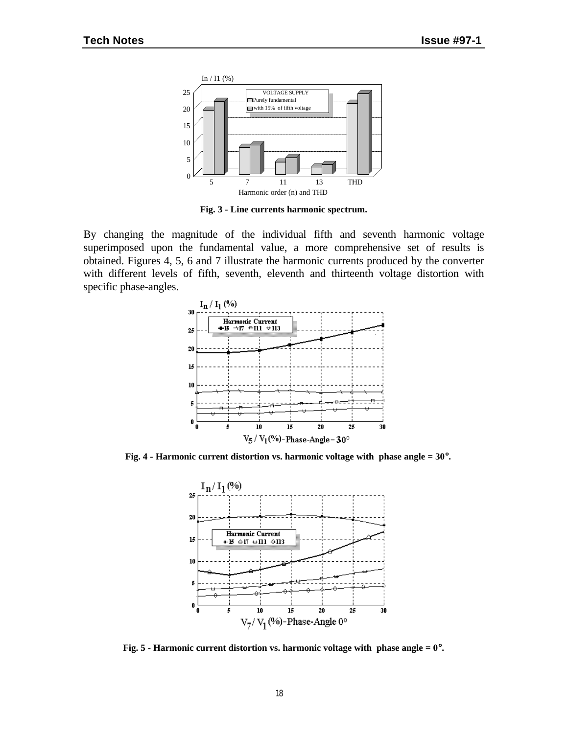

**Fig. 3 - Line currents harmonic spectrum.**

By changing the magnitude of the individual fifth and seventh harmonic voltage superimposed upon the fundamental value, a more comprehensive set of results is obtained. Figures 4, 5, 6 and 7 illustrate the harmonic currents produced by the converter with different levels of fifth, seventh, eleventh and thirteenth voltage distortion with specific phase-angles.



**Fig. 4 - Harmonic current distortion vs. harmonic voltage with phase angle = 30**°**.**



**Fig. 5 - Harmonic current distortion vs. harmonic voltage with phase angle = 0**°**.**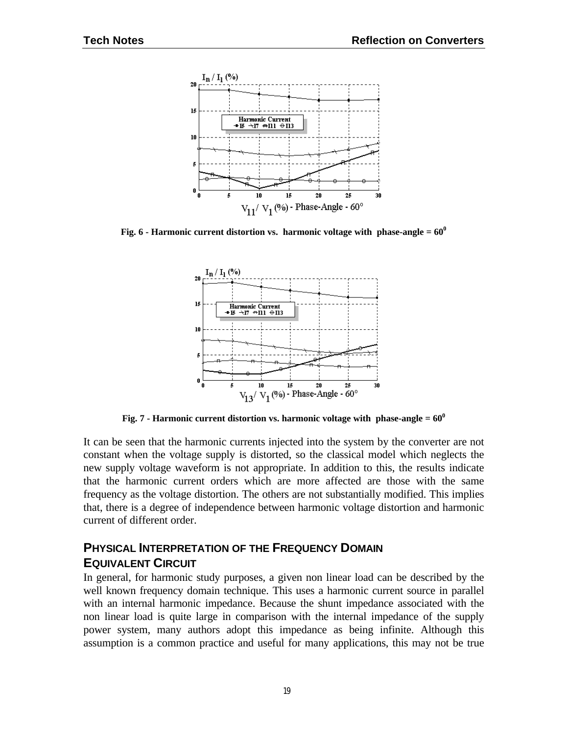

**Fig. 6 - Harmonic current distortion vs. harmonic voltage with phase-angle = 60<sup>0</sup>**



**Fig. 7 - Harmonic current distortion vs. harmonic voltage with phase-angle = 60<sup>0</sup>**

It can be seen that the harmonic currents injected into the system by the converter are not constant when the voltage supply is distorted, so the classical model which neglects the new supply voltage waveform is not appropriate. In addition to this, the results indicate that the harmonic current orders which are more affected are those with the same frequency as the voltage distortion. The others are not substantially modified. This implies that, there is a degree of independence between harmonic voltage distortion and harmonic current of different order.

## **PHYSICAL INTERPRETATION OF THE FREQUENCY DOMAIN EQUIVALENT CIRCUIT**

In general, for harmonic study purposes, a given non linear load can be described by the well known frequency domain technique. This uses a harmonic current source in parallel with an internal harmonic impedance. Because the shunt impedance associated with the non linear load is quite large in comparison with the internal impedance of the supply power system, many authors adopt this impedance as being infinite. Although this assumption is a common practice and useful for many applications, this may not be true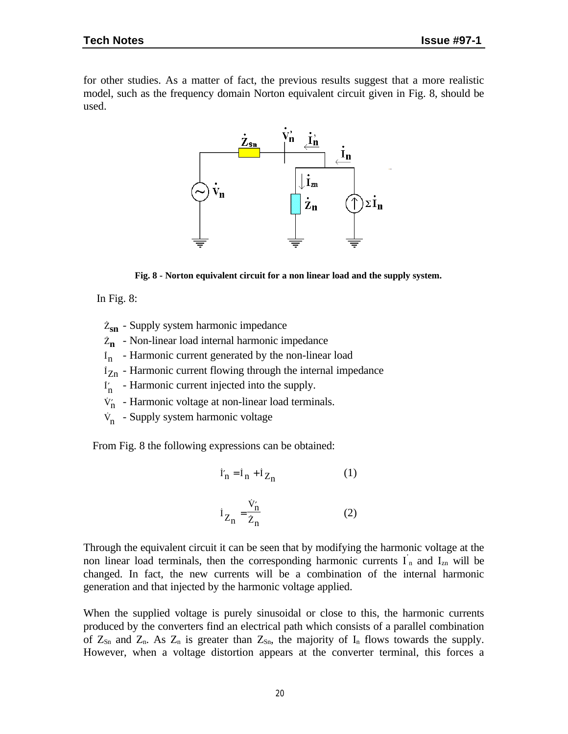for other studies. As a matter of fact, the previous results suggest that a more realistic model, such as the frequency domain Norton equivalent circuit given in Fig. 8, should be used.



**Fig. 8 - Norton equivalent circuit for a non linear load and the supply system.**

In Fig. 8:

- <sup>Z</sup>**sn** Supply system harmonic impedance
- Z**n** Non-linear load internal harmonic impedance
- In Harmonic current generated by the non-linear load
- $i_{Zn}$  Harmonic current flowing through the internal impedance
- I′n Harmonic current injected into the supply.
- $V_n'$  Harmonic voltage at non-linear load terminals.
- V<sub>n</sub> Supply system harmonic voltage

From Fig. 8 the following expressions can be obtained:

$$
\dot{\mathbf{I}}'_{n} = \mathbf{I}_{n} + \dot{\mathbf{I}}_{Z_{n}}
$$
 (1)

$$
i_{Z_n} = \frac{\dot{v}_n'}{\dot{z}_n}
$$
 (2)

Through the equivalent circuit it can be seen that by modifying the harmonic voltage at the non linear load terminals, then the corresponding harmonic currents  $I_n$  and  $I_{zn}$  will be changed. In fact, the new currents will be a combination of the internal harmonic generation and that injected by the harmonic voltage applied.

When the supplied voltage is purely sinusoidal or close to this, the harmonic currents produced by the converters find an electrical path which consists of a parallel combination of  $Z_{Sn}$  and  $Z_n$ . As  $Z_n$  is greater than  $Z_{Sn}$ , the majority of  $I_n$  flows towards the supply. However, when a voltage distortion appears at the converter terminal, this forces a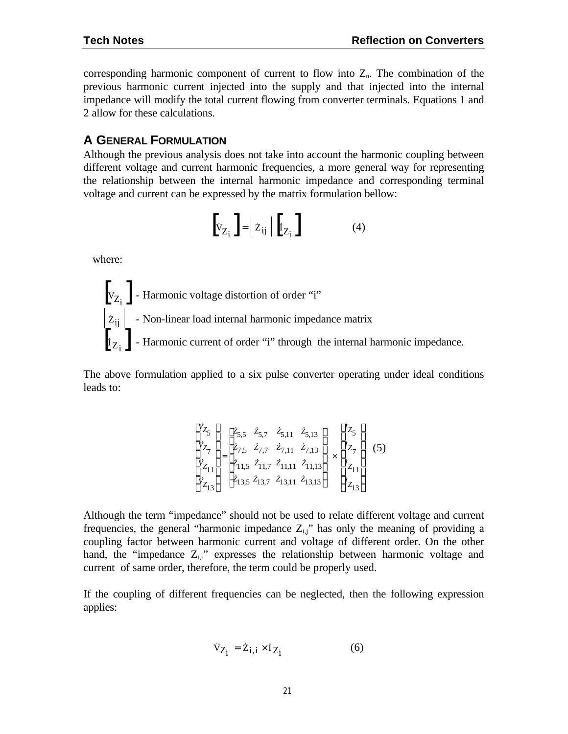corresponding harmonic component of current to flow into  $Z<sub>n</sub>$ . The combination of the previous harmonic current injected into the supply and that injected into the internal impedance will modify the total current flowing from converter terminals. Equations 1 and 2 allow for these calculations.

#### **A GENERAL FORMULATION**

Although the previous analysis does not take into account the harmonic coupling between different voltage and current harmonic frequencies, a more general way for representing the relationship between the internal harmonic impedance and corresponding terminal voltage and current can be expressed by the matrix formulation bellow:

$$
\begin{bmatrix} \dot{v}_{Z_i} \end{bmatrix} = \dot{z}_{ij} \mid \begin{bmatrix} \dot{I}_{Z_i} \end{bmatrix}
$$
 (4)

where:



The above formulation applied to a six pulse converter operating under ideal conditions leads to:

$$
\begin{bmatrix} \dot{v}_{Z_5} \\ \dot{v}_{Z_7} \\ \dot{v}_{Z_{11}} \\ \dot{v}_{Z_{13}} \end{bmatrix} = \begin{bmatrix} \dot{z}_{5,5} & \dot{z}_{5,7} & \dot{z}_{5,11} & \dot{z}_{5,13} \\ \dot{z}_{7,5} & \dot{z}_{7,7} & \dot{z}_{7,11} & \dot{z}_{7,13} \\ \dot{z}_{11,5} & \dot{z}_{11,7} & \dot{z}_{11,11} & \dot{z}_{11,13} \\ \dot{z}_{13,5} & \dot{z}_{13,7} & \dot{z}_{13,11} & \dot{z}_{13,13} \end{bmatrix} \times \begin{bmatrix} \dot{i}_{Z_5} \\ \dot{i}_{Z_7} \\ \dot{i}_{Z_{11}} \\ \dot{i}_{Z_{12}} \\ \dot{i}_{Z_{13}} \end{bmatrix}
$$
 (5)

Although the term "impedance" should not be used to relate different voltage and current frequencies, the general "harmonic impedance  $Z_{i,j}$ " has only the meaning of providing a coupling factor between harmonic current and voltage of different order. On the other hand, the "impedance  $Z_{i,i}$ " expresses the relationship between harmonic voltage and current of same order, therefore, the term could be properly used.

If the coupling of different frequencies can be neglected, then the following expression applies:

$$
\dot{V}_{Z_i} = \dot{Z}_{i,i} \times \dot{I}_{Z_i}
$$
 (6)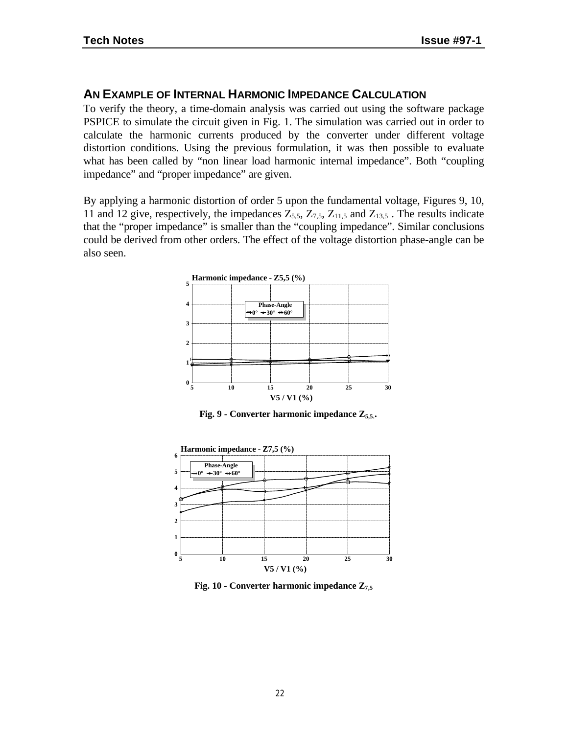## **AN EXAMPLE OF INTERNAL HARMONIC IMPEDANCE CALCULATION**

To verify the theory, a time-domain analysis was carried out using the software package PSPICE to simulate the circuit given in Fig. 1. The simulation was carried out in order to calculate the harmonic currents produced by the converter under different voltage distortion conditions. Using the previous formulation, it was then possible to evaluate what has been called by "non linear load harmonic internal impedance". Both "coupling impedance" and "proper impedance" are given.

By applying a harmonic distortion of order 5 upon the fundamental voltage, Figures 9, 10, 11 and 12 give, respectively, the impedances  $Z_{5,5}$ ,  $Z_{7,5}$ ,  $Z_{11,5}$  and  $Z_{13,5}$ . The results indicate that the "proper impedance" is smaller than the "coupling impedance". Similar conclusions could be derived from other orders. The effect of the voltage distortion phase-angle can be also seen.



**Fig. 9 - Converter harmonic impedance Z5,5..**



**Fig. 10 - Converter harmonic impedance Z7,5**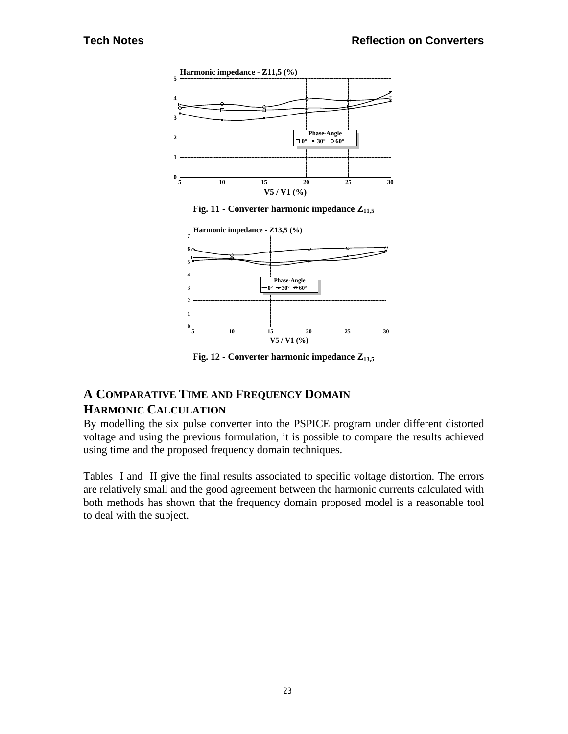





**Fig. 12 - Converter harmonic impedance Z13,5**

## **A COMPARATIVE TIME AND FREQUENCY DOMAIN HARMONIC CALCULATION**

By modelling the six pulse converter into the PSPICE program under different distorted voltage and using the previous formulation, it is possible to compare the results achieved using time and the proposed frequency domain techniques.

Tables I and II give the final results associated to specific voltage distortion. The errors are relatively small and the good agreement between the harmonic currents calculated with both methods has shown that the frequency domain proposed model is a reasonable tool to deal with the subject.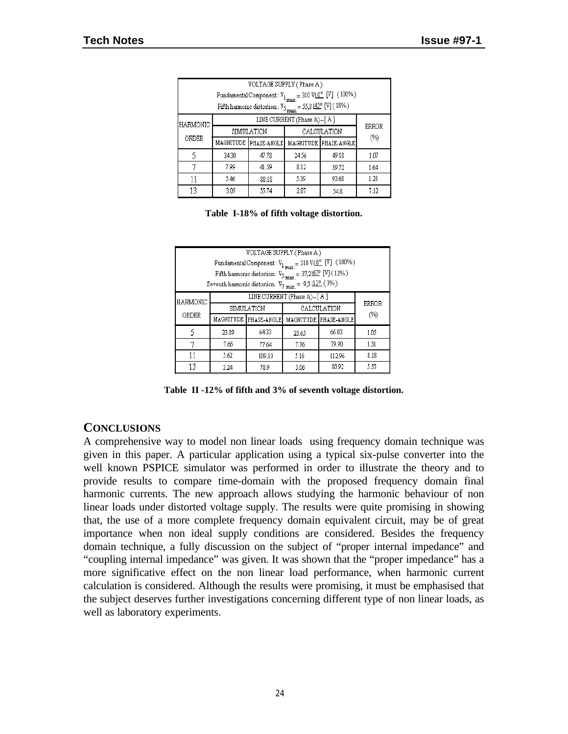| VOLTAGE SUPPLY (Phase A)                                                                        |                            |                       |       |                       |       |
|-------------------------------------------------------------------------------------------------|----------------------------|-----------------------|-------|-----------------------|-------|
| Fundamental Component: $V_{1_{max}} = 310 \text{ V} \left[ \frac{0^{\circ}}{2} \right] (100\%)$ |                            |                       |       |                       |       |
| Fifth harmonic distortion : $\mathbb{V}_{5~\rm{max}}=55{,}8\,\rm{[}45^o$ [V] ( $18\%)$          |                            |                       |       |                       |       |
| <b>HARMONIC</b>                                                                                 | LINE CURRENT (Phase A)-[A] |                       |       |                       |       |
|                                                                                                 | CALCULATION<br>SIMULATION  |                       |       |                       | ERROR |
| ORDER                                                                                           |                            | MAGNITUDE PHASE-ANGLE |       | MAGNITUDE PHASE-ANGLE | (%)   |
| 5                                                                                               | 24.30                      | 47.78                 | 24.56 | 49.18                 | 1.07  |
|                                                                                                 | 7.99                       | 41.39                 | 8.12  | 39.72                 | 1.64  |
| 11                                                                                              | 5.46                       | 88.18                 | 5.39  | 93.68                 | 1.28  |
| 13                                                                                              | 3.09                       | 55.74                 | 2.87  | 54.8                  | 7.12  |

|  |  |  |  | Table I-18% of fifth voltage distortion. |
|--|--|--|--|------------------------------------------|
|--|--|--|--|------------------------------------------|

| VOLTAGE SUPPLY (Phase A)<br>Fundamental Component: $V_{1_{max}} = 310 \text{ V} \left[ \frac{0^{\circ}}{\text{V}} \right] (100\%)$<br>Fifth harmonic distortion : $\mathtt{V}_{5\ \mathrm{max.}}=37{,}265^{\mathrm{o}}$ [V] ( $12\%)$<br>Seventh harmonic distortion : $\rm V_{7~max.}$ = $~9{,}3\,\rm l\overline{12^o}$ ( $3\%)$ |                                                         |                       |       |                       |              |
|-----------------------------------------------------------------------------------------------------------------------------------------------------------------------------------------------------------------------------------------------------------------------------------------------------------------------------------|---------------------------------------------------------|-----------------------|-------|-----------------------|--------------|
| HARMONIC                                                                                                                                                                                                                                                                                                                          | LINE CURRENT (Phase A)-[A]<br>SIMULATION<br>CALCULATION |                       |       |                       | <b>ERROR</b> |
| ORDER                                                                                                                                                                                                                                                                                                                             |                                                         | MAGNITUDE PHASE-ANGLE |       | MAGNITUDE PHASE-ANGLE | (%)          |
| 5                                                                                                                                                                                                                                                                                                                                 | 23.89                                                   | 64.33                 | 23.65 | 66.03                 | 1.05         |
|                                                                                                                                                                                                                                                                                                                                   | 7.66                                                    | 77.64                 | 7.76  | 79.90                 | 1.31         |
| 11                                                                                                                                                                                                                                                                                                                                | 5.62                                                    | 109.10                | 5.16  | 112.96                | 8.18         |
| 13                                                                                                                                                                                                                                                                                                                                | 3.24                                                    | 78.9                  | 3.06  | 80.92                 | 5.55         |

**Table II -12% of fifth and 3% of seventh voltage distortion.**

### **CONCLUSIONS**

A comprehensive way to model non linear loads using frequency domain technique was given in this paper. A particular application using a typical six-pulse converter into the well known PSPICE simulator was performed in order to illustrate the theory and to provide results to compare time-domain with the proposed frequency domain final harmonic currents. The new approach allows studying the harmonic behaviour of non linear loads under distorted voltage supply. The results were quite promising in showing that, the use of a more complete frequency domain equivalent circuit, may be of great importance when non ideal supply conditions are considered. Besides the frequency domain technique, a fully discussion on the subject of "proper internal impedance" and "coupling internal impedance" was given. It was shown that the "proper impedance" has a more significative effect on the non linear load performance, when harmonic current calculation is considered. Although the results were promising, it must be emphasised that the subject deserves further investigations concerning different type of non linear loads, as well as laboratory experiments.